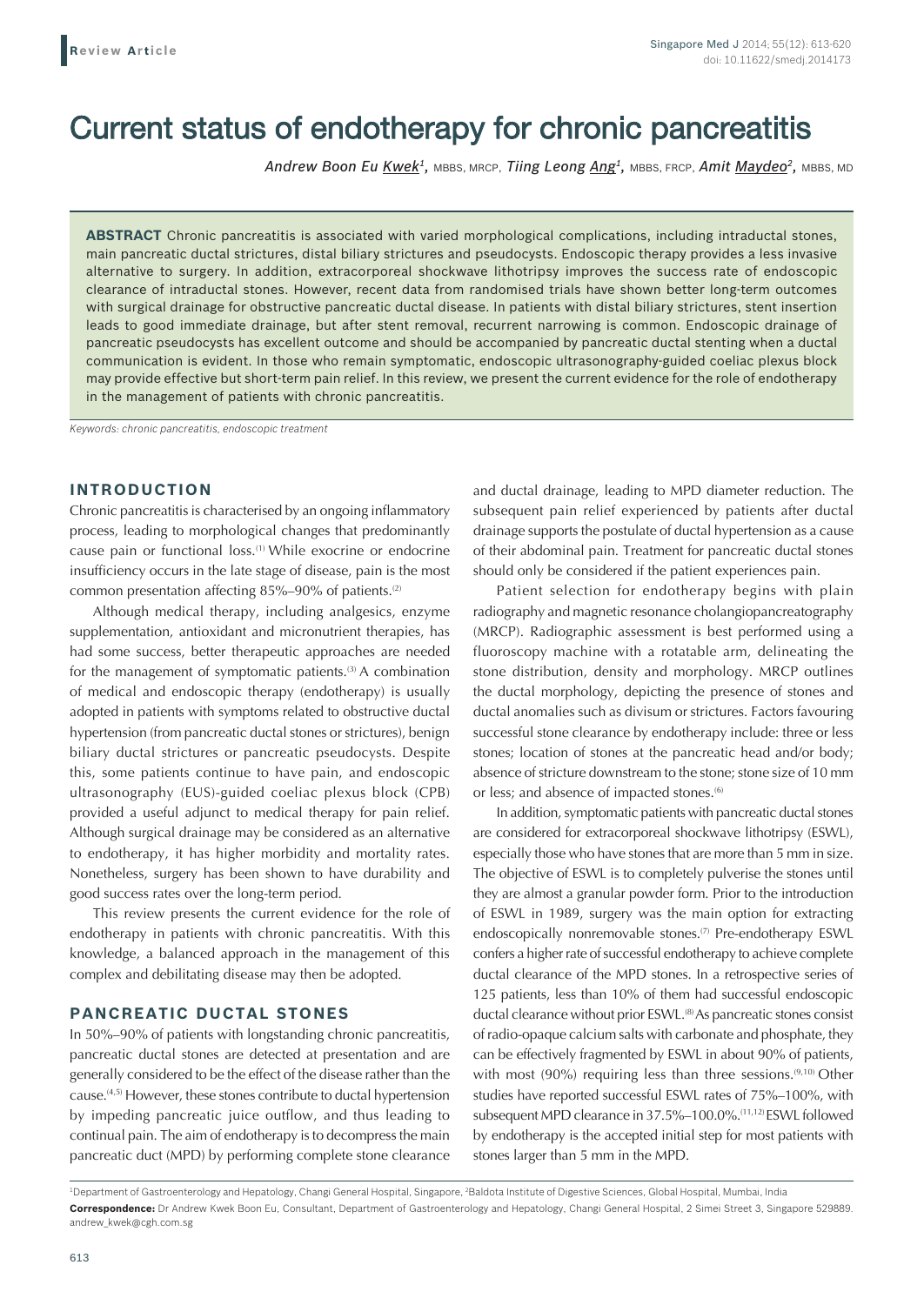# Current status of endotherapy for chronic pancreatitis

*Andrew Boon Eu Kwek1,* MBBS, MRCP, *Tiing Leong Ang1,* MBBS, FRCP, *Amit Maydeo2,* MBBS, MD

**ABSTRACT** Chronic pancreatitis is associated with varied morphological complications, including intraductal stones, main pancreatic ductal strictures, distal biliary strictures and pseudocysts. Endoscopic therapy provides a less invasive alternative to surgery. In addition, extracorporeal shockwave lithotripsy improves the success rate of endoscopic clearance of intraductal stones. However, recent data from randomised trials have shown better long-term outcomes with surgical drainage for obstructive pancreatic ductal disease. In patients with distal biliary strictures, stent insertion leads to good immediate drainage, but after stent removal, recurrent narrowing is common. Endoscopic drainage of pancreatic pseudocysts has excellent outcome and should be accompanied by pancreatic ductal stenting when a ductal communication is evident. In those who remain symptomatic, endoscopic ultrasonography-guided coeliac plexus block may provide effective but short-term pain relief. In this review, we present the current evidence for the role of endotherapy in the management of patients with chronic pancreatitis.

*Keywords: chronic pancreatitis, endoscopic treatment*

# **INTRODUCTION**

Chronic pancreatitis is characterised by an ongoing inflammatory process, leading to morphological changes that predominantly cause pain or functional loss.(1) While exocrine or endocrine insufficiency occurs in the late stage of disease, pain is the most common presentation affecting  $85\% - 90\%$  of patients.<sup>(2)</sup>

Although medical therapy, including analgesics, enzyme supplementation, antioxidant and micronutrient therapies, has had some success, better therapeutic approaches are needed for the management of symptomatic patients. $(3)$  A combination of medical and endoscopic therapy (endotherapy) is usually adopted in patients with symptoms related to obstructive ductal hypertension (from pancreatic ductal stones or strictures), benign biliary ductal strictures or pancreatic pseudocysts. Despite this, some patients continue to have pain, and endoscopic ultrasonography (EUS)-guided coeliac plexus block (CPB) provided a useful adjunct to medical therapy for pain relief. Although surgical drainage may be considered as an alternative to endotherapy, it has higher morbidity and mortality rates. Nonetheless, surgery has been shown to have durability and good success rates over the long-term period.

This review presents the current evidence for the role of endotherapy in patients with chronic pancreatitis. With this knowledge, a balanced approach in the management of this complex and debilitating disease may then be adopted.

# **PANCREATIC DUCTAL STONES**

In 50%–90% of patients with longstanding chronic pancreatitis, pancreatic ductal stones are detected at presentation and are generally considered to be the effect of the disease rather than the cause.(4,5) However, these stones contribute to ductal hypertension by impeding pancreatic juice outflow, and thus leading to continual pain. The aim of endotherapy is to decompress the main pancreatic duct (MPD) by performing complete stone clearance and ductal drainage, leading to MPD diameter reduction. The subsequent pain relief experienced by patients after ductal drainage supports the postulate of ductal hypertension as a cause of their abdominal pain. Treatment for pancreatic ductal stones should only be considered if the patient experiences pain.

Patient selection for endotherapy begins with plain radiography and magnetic resonance cholangiopancreatography (MRCP). Radiographic assessment is best performed using a fluoroscopy machine with a rotatable arm, delineating the stone distribution, density and morphology. MRCP outlines the ductal morphology, depicting the presence of stones and ductal anomalies such as divisum or strictures. Factors favouring successful stone clearance by endotherapy include: three or less stones; location of stones at the pancreatic head and/or body; absence of stricture downstream to the stone; stone size of 10 mm or less; and absence of impacted stones.<sup>(6)</sup>

In addition, symptomatic patients with pancreatic ductal stones are considered for extracorporeal shockwave lithotripsy (ESWL), especially those who have stones that are more than 5 mm in size. The objective of ESWL is to completely pulverise the stones until they are almost a granular powder form. Prior to the introduction of ESWL in 1989, surgery was the main option for extracting endoscopically nonremovable stones.<sup>(7)</sup> Pre-endotherapy ESWL confers a higher rate of successful endotherapy to achieve complete ductal clearance of the MPD stones. In a retrospective series of 125 patients, less than 10% of them had successful endoscopic ductal clearance without prior ESWL.<sup>(8)</sup> As pancreatic stones consist of radio-opaque calcium salts with carbonate and phosphate, they can be effectively fragmented by ESWL in about 90% of patients, with most (90%) requiring less than three sessions. $(9,10)$  Other studies have reported successful ESWL rates of 75%–100%, with subsequent MPD clearance in 37.5%–100.0%.(11,12) ESWL followed by endotherapy is the accepted initial step for most patients with stones larger than 5 mm in the MPD.

<sup>&</sup>lt;sup>1</sup>Department of Gastroenterology and Hepatology, Changi General Hospital, Singapore, <sup>2</sup>Baldota Institute of Digestive Sciences, Global Hospital, Mumbai, India **Correspondence:** Dr Andrew Kwek Boon Eu, Consultant, Department of Gastroenterology and Hepatology, Changi General Hospital, 2 Simei Street 3, Singapore 529889. andrew\_kwek@cgh.com.sg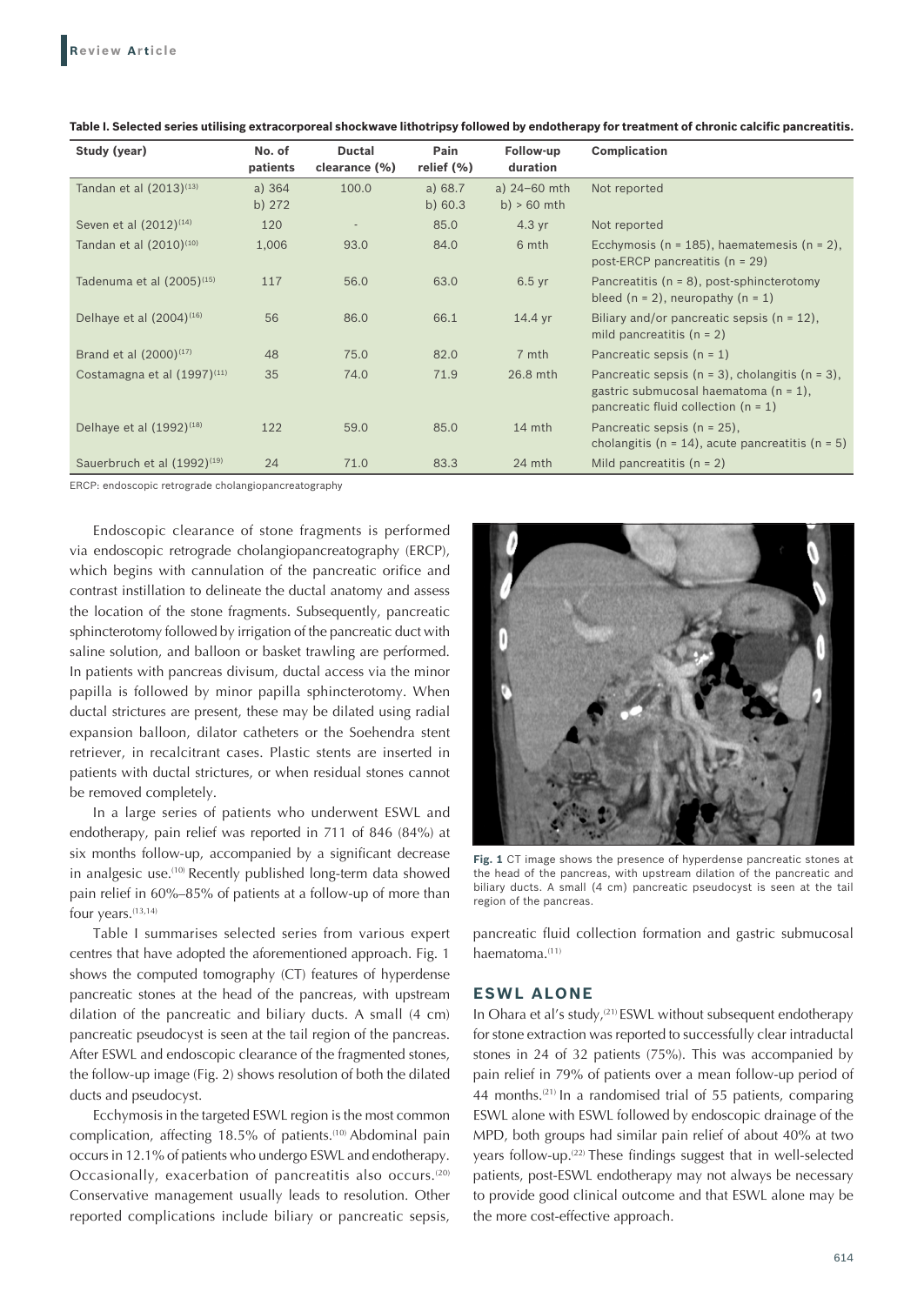| Study (year)                            | No. of<br>patients | <b>Ductal</b><br>clearance (%) | Pain<br>relief $(\% )$ | Follow-up<br>duration             | <b>Complication</b>                                                                                                                           |  |
|-----------------------------------------|--------------------|--------------------------------|------------------------|-----------------------------------|-----------------------------------------------------------------------------------------------------------------------------------------------|--|
| Tandan et al (2013) <sup>(13)</sup>     | a) $364$<br>b) 272 | 100.0                          | a) $68.7$<br>b) 60.3   | a) $24 - 60$ mth<br>$b) > 60$ mth | Not reported                                                                                                                                  |  |
| Seven et al (2012) <sup>(14)</sup>      | 120                | $\overline{\phantom{a}}$       | 85.0                   | 4.3 yr                            | Not reported                                                                                                                                  |  |
| Tandan et al $(2010)^{(10)}$            | 1.006              | 93.0                           | 84.0                   | 6 mth                             | Ecchymosis ( $n = 185$ ), haematemesis ( $n = 2$ ),<br>post-ERCP pancreatitis $(n = 29)$                                                      |  |
| Tadenuma et al $(2005)^{(15)}$          | 117                | 56.0                           | 63.0                   | $6.5$ yr                          | Pancreatitis ( $n = 8$ ), post-sphincterotomy<br>bleed $(n = 2)$ , neuropathy $(n = 1)$                                                       |  |
| Delhaye et al (2004) <sup>(16)</sup>    | 56                 | 86.0                           | 66.1                   | 14.4 yr                           | Biliary and/or pancreatic sepsis $(n = 12)$ ,<br>mild pancreatitis $(n = 2)$                                                                  |  |
| Brand et al $(2000)^{(17)}$             | 48                 | 75.0                           | 82.0                   | 7 mth                             | Pancreatic sepsis $(n = 1)$                                                                                                                   |  |
| Costamagna et al (1997) <sup>(11)</sup> | 35                 | 74.0                           | 71.9                   | 26.8 mth                          | Pancreatic sepsis ( $n = 3$ ), cholangitis ( $n = 3$ ),<br>gastric submucosal haematoma ( $n = 1$ ),<br>pancreatic fluid collection $(n = 1)$ |  |
| Delhaye et al $(1992)^{(18)}$           | 122                | 59.0                           | 85.0                   | 14 mth                            | Pancreatic sepsis ( $n = 25$ ),<br>cholangitis ( $n = 14$ ), acute pancreatitis ( $n = 5$ )                                                   |  |
| Sauerbruch et al (1992) <sup>(19)</sup> | 24                 | 71.0                           | 83.3                   | $24$ mth                          | Mild pancreatitis $(n = 2)$                                                                                                                   |  |

**Table I. Selected series utilising extracorporeal shockwave lithotripsy followed by endotherapy for treatment of chronic calcific pancreatitis.**

ERCP: endoscopic retrograde cholangiopancreatography

Endoscopic clearance of stone fragments is performed via endoscopic retrograde cholangiopancreatography (ERCP), which begins with cannulation of the pancreatic orifice and contrast instillation to delineate the ductal anatomy and assess the location of the stone fragments. Subsequently, pancreatic sphincterotomy followed by irrigation of the pancreatic duct with saline solution, and balloon or basket trawling are performed. In patients with pancreas divisum, ductal access via the minor papilla is followed by minor papilla sphincterotomy. When ductal strictures are present, these may be dilated using radial expansion balloon, dilator catheters or the Soehendra stent retriever, in recalcitrant cases. Plastic stents are inserted in patients with ductal strictures, or when residual stones cannot be removed completely.

In a large series of patients who underwent ESWL and endotherapy, pain relief was reported in 711 of 846 (84%) at six months follow-up, accompanied by a significant decrease in analgesic use.<sup>(10)</sup> Recently published long-term data showed pain relief in 60%–85% of patients at a follow-up of more than four years.<sup>(13,14)</sup>

Table I summarises selected series from various expert centres that have adopted the aforementioned approach. Fig. 1 shows the computed tomography (CT) features of hyperdense pancreatic stones at the head of the pancreas, with upstream dilation of the pancreatic and biliary ducts. A small (4 cm) pancreatic pseudocyst is seen at the tail region of the pancreas. After ESWL and endoscopic clearance of the fragmented stones, the follow-up image (Fig. 2) shows resolution of both the dilated ducts and pseudocyst.

Ecchymosis in the targeted ESWL region is the most common complication, affecting 18.5% of patients.<sup>(10)</sup> Abdominal pain occurs in 12.1% of patients who undergo ESWL and endotherapy. Occasionally, exacerbation of pancreatitis also occurs.<sup>(20)</sup> Conservative management usually leads to resolution. Other reported complications include biliary or pancreatic sepsis,



**Fig. 1** CT image shows the presence of hyperdense pancreatic stones at the head of the pancreas, with upstream dilation of the pancreatic and biliary ducts. A small (4 cm) pancreatic pseudocyst is seen at the tail region of the pancreas.

pancreatic fluid collection formation and gastric submucosal haematoma.(11)

## **ESWL ALONE**

In Ohara et al's study,<sup>(21)</sup> ESWL without subsequent endotherapy for stone extraction was reported to successfully clear intraductal stones in 24 of 32 patients (75%). This was accompanied by pain relief in 79% of patients over a mean follow-up period of 44 months.(21) In a randomised trial of 55 patients, comparing ESWL alone with ESWL followed by endoscopic drainage of the MPD, both groups had similar pain relief of about 40% at two years follow-up.(22) These findings suggest that in well-selected patients, post-ESWL endotherapy may not always be necessary to provide good clinical outcome and that ESWL alone may be the more cost-effective approach.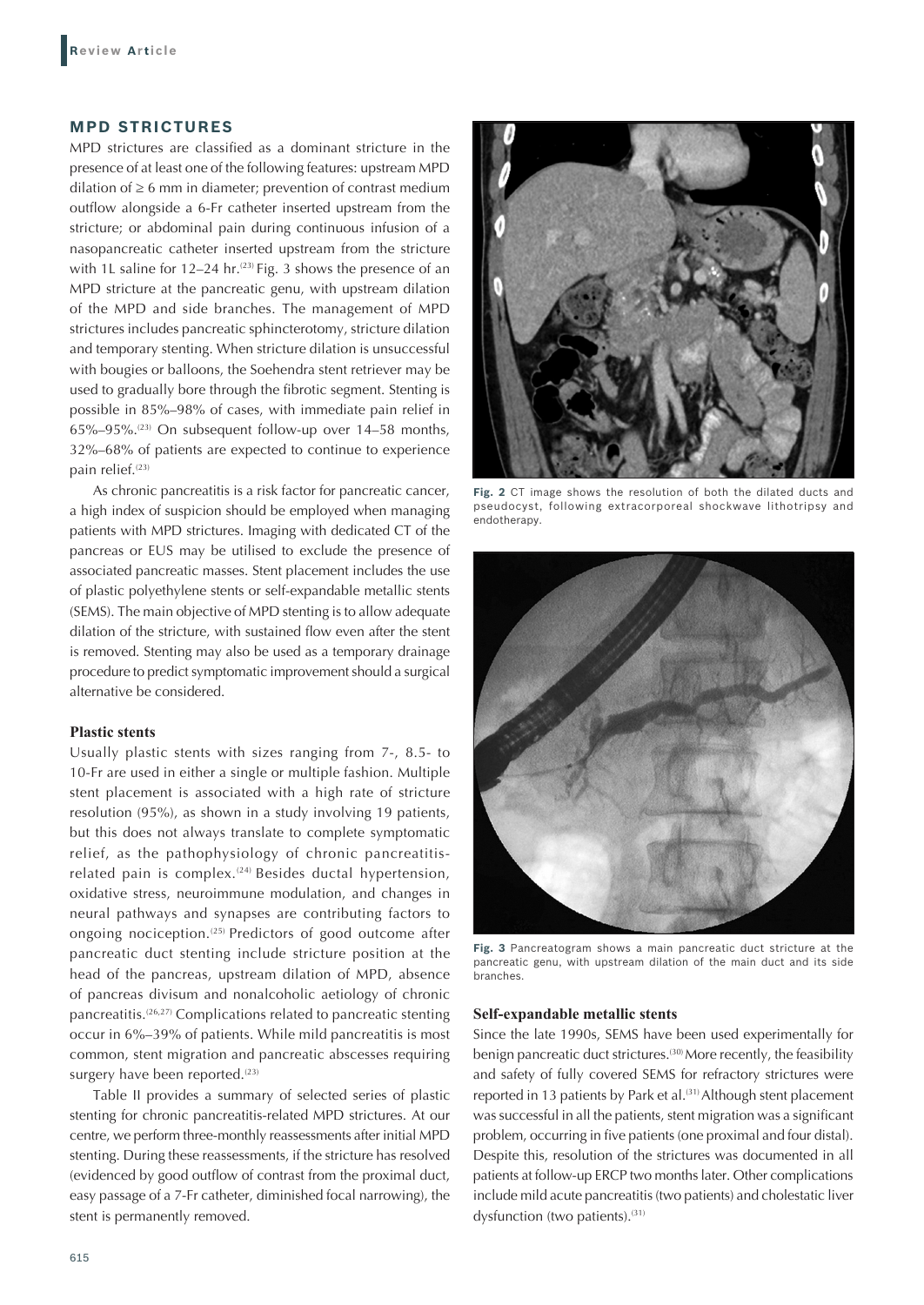# **MPD STRICTURES**

MPD strictures are classified as a dominant stricture in the presence of at least one of the following features: upstream MPD dilation of  $\geq 6$  mm in diameter; prevention of contrast medium outflow alongside a 6-Fr catheter inserted upstream from the stricture; or abdominal pain during continuous infusion of a nasopancreatic catheter inserted upstream from the stricture with 1L saline for  $12-24$  hr.<sup>(23)</sup> Fig. 3 shows the presence of an MPD stricture at the pancreatic genu, with upstream dilation of the MPD and side branches. The management of MPD strictures includes pancreatic sphincterotomy, stricture dilation and temporary stenting. When stricture dilation is unsuccessful with bougies or balloons, the Soehendra stent retriever may be used to gradually bore through the fibrotic segment. Stenting is possible in 85%–98% of cases, with immediate pain relief in 65%–95%. $(23)$  On subsequent follow-up over 14–58 months, 32%–68% of patients are expected to continue to experience pain relief.<sup>(23)</sup>

As chronic pancreatitis is a risk factor for pancreatic cancer, a high index of suspicion should be employed when managing patients with MPD strictures. Imaging with dedicated CT of the pancreas or EUS may be utilised to exclude the presence of associated pancreatic masses. Stent placement includes the use of plastic polyethylene stents or self-expandable metallic stents (SEMS). The main objective of MPD stenting is to allow adequate dilation of the stricture, with sustained flow even after the stent is removed. Stenting may also be used as a temporary drainage procedure to predict symptomatic improvement should a surgical alternative be considered.

### **Plastic stents**

Usually plastic stents with sizes ranging from 7-, 8.5- to 10-Fr are used in either a single or multiple fashion. Multiple stent placement is associated with a high rate of stricture resolution (95%), as shown in a study involving 19 patients, but this does not always translate to complete symptomatic relief, as the pathophysiology of chronic pancreatitisrelated pain is complex.<sup>(24)</sup> Besides ductal hypertension, oxidative stress, neuroimmune modulation, and changes in neural pathways and synapses are contributing factors to ongoing nociception.(25) Predictors of good outcome after pancreatic duct stenting include stricture position at the head of the pancreas, upstream dilation of MPD, absence of pancreas divisum and nonalcoholic aetiology of chronic pancreatitis.(26,27) Complications related to pancreatic stenting occur in 6%–39% of patients. While mild pancreatitis is most common, stent migration and pancreatic abscesses requiring surgery have been reported.<sup>(23)</sup>

Table II provides a summary of selected series of plastic stenting for chronic pancreatitis-related MPD strictures. At our centre, we perform three-monthly reassessments after initial MPD stenting. During these reassessments, if the stricture has resolved (evidenced by good outflow of contrast from the proximal duct, easy passage of a 7-Fr catheter, diminished focal narrowing), the stent is permanently removed.



**Fig. 2** CT image shows the resolution of both the dilated ducts and pseudocyst, following extracorporeal shockwave lithotripsy and endotherapy.



**Fig. 3** Pancreatogram shows a main pancreatic duct stricture at the pancreatic genu, with upstream dilation of the main duct and its side branches.

#### **Self-expandable metallic stents**

Since the late 1990s, SEMS have been used experimentally for benign pancreatic duct strictures.<sup>(30)</sup> More recently, the feasibility and safety of fully covered SEMS for refractory strictures were reported in 13 patients by Park et al.<sup>(31)</sup> Although stent placement was successful in all the patients, stent migration was a significant problem, occurring in five patients (one proximal and four distal). Despite this, resolution of the strictures was documented in all patients at follow-up ERCP two months later. Other complications include mild acute pancreatitis (two patients) and cholestatic liver dysfunction (two patients).<sup>(31)</sup>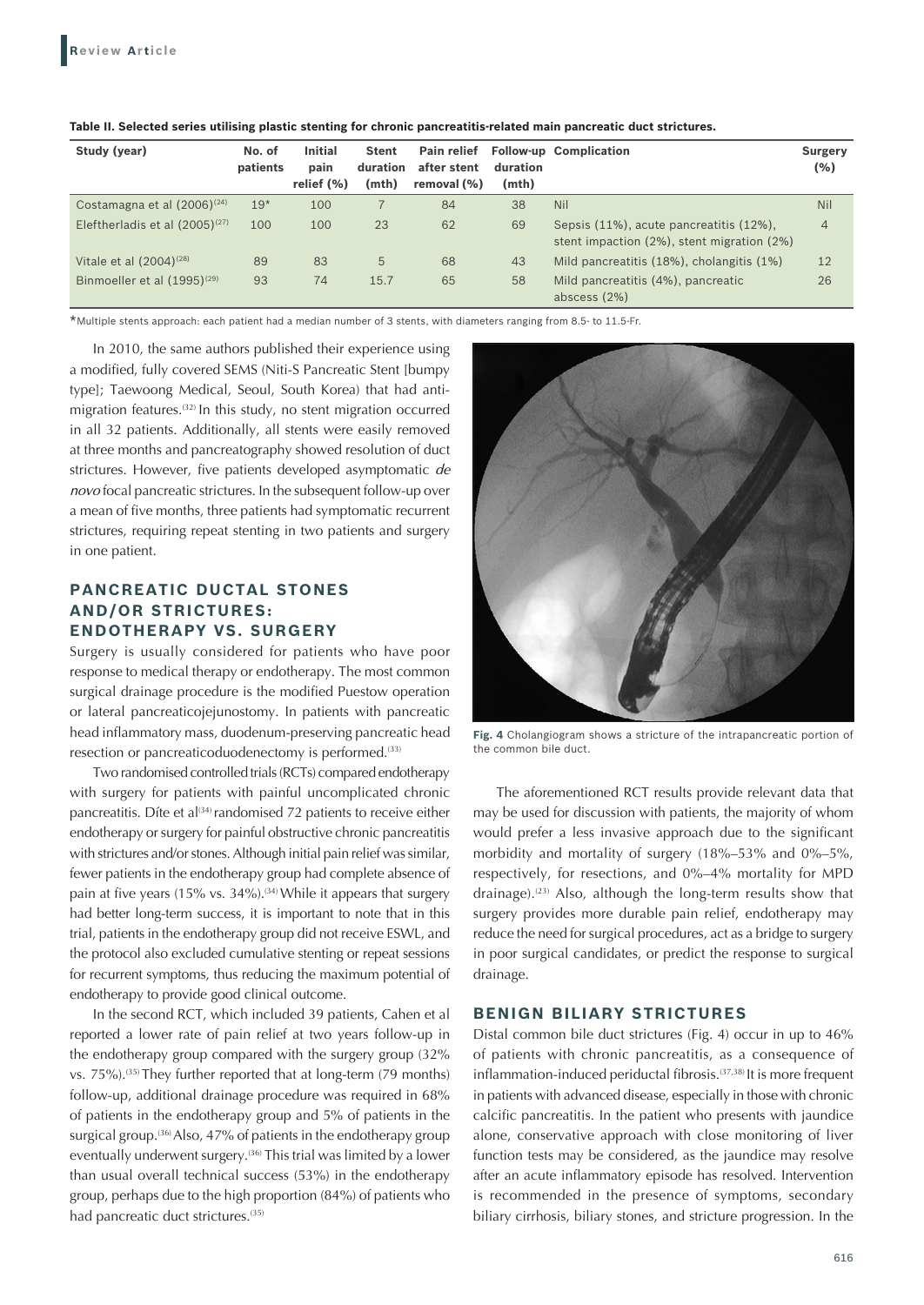| Study (year)                               | No. of<br>patients | <b>Initial</b><br>pain<br>relief (%) | Stent<br>duration<br>(mth) | Pain relief<br>after stent<br>removal (%) | duration<br>(mth) | <b>Follow-up Complication</b>                                                         | <b>Surgery</b><br>(% ) |
|--------------------------------------------|--------------------|--------------------------------------|----------------------------|-------------------------------------------|-------------------|---------------------------------------------------------------------------------------|------------------------|
| Costamagna et al $(2006)^{(24)}$           | $19*$              | 100                                  |                            | 84                                        | 38                | <b>Nil</b>                                                                            | Nil                    |
| Eleftherladis et al (2005) <sup>(27)</sup> | 100                | 100                                  | 23                         | 62                                        | 69                | Sepsis (11%), acute pancreatitis (12%),<br>stent impaction (2%), stent migration (2%) | $\overline{4}$         |
| Vitale et al $(2004)^{(28)}$               | 89                 | 83                                   | 5                          | 68                                        | 43                | Mild pancreatitis (18%), cholangitis (1%)                                             | 12                     |
| Binmoeller et al (1995) <sup>(29)</sup>    | 93                 | 74                                   | 15.7                       | 65                                        | 58                | Mild pancreatitis (4%), pancreatic<br>abscess $(2%)$                                  | 26                     |

#### **Table II. Selected series utilising plastic stenting for chronic pancreatitis‑related main pancreatic duct strictures.**

\*Multiple stents approach: each patient had a median number of 3 stents, with diameters ranging from 8.5- to 11.5-Fr.

In 2010, the same authors published their experience using a modified, fully covered SEMS (Niti-S Pancreatic Stent [bumpy type]; Taewoong Medical, Seoul, South Korea) that had antimigration features.(32) In this study, no stent migration occurred in all 32 patients. Additionally, all stents were easily removed at three months and pancreatography showed resolution of duct strictures. However, five patients developed asymptomatic *de novo* focal pancreatic strictures. In the subsequent follow-up over a mean of five months, three patients had symptomatic recurrent strictures, requiring repeat stenting in two patients and surgery in one patient.

# **PANCREATIC DUCTAL STONES AND/OR STRICTURES: ENDOTHERAPY VS. SURGERY**

Surgery is usually considered for patients who have poor response to medical therapy or endotherapy. The most common surgical drainage procedure is the modified Puestow operation or lateral pancreaticojejunostomy. In patients with pancreatic head inflammatory mass, duodenum-preserving pancreatic head resection or pancreaticoduodenectomy is performed.<sup>(33)</sup>

Two randomised controlled trials (RCTs) compared endotherapy with surgery for patients with painful uncomplicated chronic pancreatitis. Díte et al<sup>(34)</sup> randomised 72 patients to receive either endotherapy or surgery for painful obstructive chronic pancreatitis with strictures and/or stones. Although initial pain relief was similar, fewer patients in the endotherapy group had complete absence of pain at five years (15% vs. 34%).<sup>(34)</sup> While it appears that surgery had better long-term success, it is important to note that in this trial, patients in the endotherapy group did not receive ESWL, and the protocol also excluded cumulative stenting or repeat sessions for recurrent symptoms, thus reducing the maximum potential of endotherapy to provide good clinical outcome.

In the second RCT, which included 39 patients, Cahen et al reported a lower rate of pain relief at two years follow-up in the endotherapy group compared with the surgery group (32% vs. 75%).<sup>(35)</sup> They further reported that at long-term (79 months) follow-up, additional drainage procedure was required in 68% of patients in the endotherapy group and 5% of patients in the surgical group.<sup> $(36)$ </sup> Also, 47% of patients in the endotherapy group eventually underwent surgery.<sup>(36)</sup> This trial was limited by a lower than usual overall technical success (53%) in the endotherapy group, perhaps due to the high proportion (84%) of patients who had pancreatic duct strictures.<sup>(35)</sup>



**Fig. 4** Cholangiogram shows a stricture of the intrapancreatic portion of the common bile duct.

The aforementioned RCT results provide relevant data that may be used for discussion with patients, the majority of whom would prefer a less invasive approach due to the significant morbidity and mortality of surgery (18%–53% and 0%–5%, respectively, for resections, and 0%–4% mortality for MPD drainage).(23) Also, although the long-term results show that surgery provides more durable pain relief, endotherapy may reduce the need for surgical procedures, act as a bridge to surgery in poor surgical candidates, or predict the response to surgical drainage.

# **BENIGN BILIARY STRICTURES**

Distal common bile duct strictures (Fig. 4) occur in up to 46% of patients with chronic pancreatitis, as a consequence of inflammation-induced periductal fibrosis.(37,38) It is more frequent in patients with advanced disease, especially in those with chronic calcific pancreatitis. In the patient who presents with jaundice alone, conservative approach with close monitoring of liver function tests may be considered, as the jaundice may resolve after an acute inflammatory episode has resolved. Intervention is recommended in the presence of symptoms, secondary biliary cirrhosis, biliary stones, and stricture progression. In the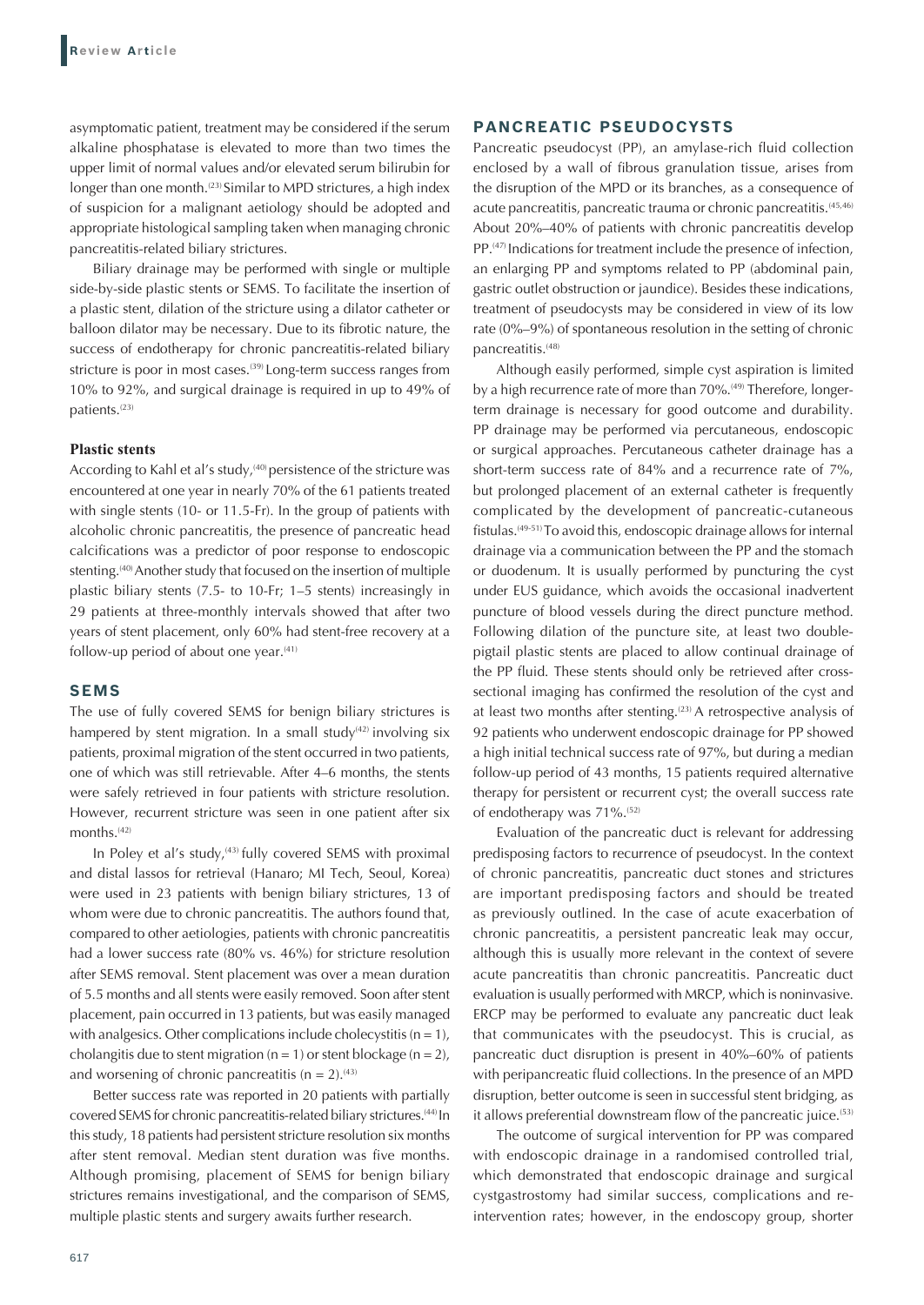asymptomatic patient, treatment may be considered if the serum alkaline phosphatase is elevated to more than two times the upper limit of normal values and/or elevated serum bilirubin for longer than one month.<sup>(23)</sup> Similar to MPD strictures, a high index of suspicion for a malignant aetiology should be adopted and appropriate histological sampling taken when managing chronic pancreatitis-related biliary strictures.

Biliary drainage may be performed with single or multiple side-by-side plastic stents or SEMS. To facilitate the insertion of a plastic stent, dilation of the stricture using a dilator catheter or balloon dilator may be necessary. Due to its fibrotic nature, the success of endotherapy for chronic pancreatitis-related biliary stricture is poor in most cases.<sup>(39)</sup> Long-term success ranges from 10% to 92%, and surgical drainage is required in up to 49% of patients.<sup>(23)</sup>

#### **Plastic stents**

According to Kahl et al's study,<sup>(40)</sup> persistence of the stricture was encountered at one year in nearly 70% of the 61 patients treated with single stents (10- or 11.5-Fr). In the group of patients with alcoholic chronic pancreatitis, the presence of pancreatic head calcifications was a predictor of poor response to endoscopic stenting.<sup>(40)</sup> Another study that focused on the insertion of multiple plastic biliary stents (7.5- to 10-Fr; 1–5 stents) increasingly in 29 patients at three-monthly intervals showed that after two years of stent placement, only 60% had stent-free recovery at a follow-up period of about one year.<sup>(41)</sup>

## **SEMS**

The use of fully covered SEMS for benign biliary strictures is hampered by stent migration. In a small study<sup>(42)</sup> involving six patients, proximal migration of the stent occurred in two patients, one of which was still retrievable. After 4–6 months, the stents were safely retrieved in four patients with stricture resolution. However, recurrent stricture was seen in one patient after six months.<sup>(42)</sup>

In Poley et al's study, $(43)$  fully covered SEMS with proximal and distal lassos for retrieval (Hanaro; MI Tech, Seoul, Korea) were used in 23 patients with benign biliary strictures, 13 of whom were due to chronic pancreatitis. The authors found that, compared to other aetiologies, patients with chronic pancreatitis had a lower success rate (80% vs. 46%) for stricture resolution after SEMS removal. Stent placement was over a mean duration of 5.5 months and all stents were easily removed. Soon after stent placement, pain occurred in 13 patients, but was easily managed with analgesics. Other complications include cholecystitis  $(n = 1)$ , cholangitis due to stent migration ( $n = 1$ ) or stent blockage ( $n = 2$ ), and worsening of chronic pancreatitis ( $n = 2$ ).<sup>(43)</sup>

Better success rate was reported in 20 patients with partially covered SEMS for chronic pancreatitis-related biliary strictures.<sup>(44)</sup> In this study, 18 patients had persistent stricture resolution six months after stent removal. Median stent duration was five months. Although promising, placement of SEMS for benign biliary strictures remains investigational, and the comparison of SEMS, multiple plastic stents and surgery awaits further research.

# **PANCREATIC PSEUDOCYSTS**

Pancreatic pseudocyst (PP), an amylase-rich fluid collection enclosed by a wall of fibrous granulation tissue, arises from the disruption of the MPD or its branches, as a consequence of acute pancreatitis, pancreatic trauma or chronic pancreatitis.<sup>(45,46)</sup> About 20%–40% of patients with chronic pancreatitis develop PP.<sup>(47)</sup> Indications for treatment include the presence of infection, an enlarging PP and symptoms related to PP (abdominal pain, gastric outlet obstruction or jaundice). Besides these indications, treatment of pseudocysts may be considered in view of its low rate (0%–9%) of spontaneous resolution in the setting of chronic pancreatitis.<sup>(48)</sup>

Although easily performed, simple cyst aspiration is limited by a high recurrence rate of more than 70%. $^{\scriptscriptstyle (49)}$  Therefore, longerterm drainage is necessary for good outcome and durability. PP drainage may be performed via percutaneous, endoscopic or surgical approaches. Percutaneous catheter drainage has a short-term success rate of 84% and a recurrence rate of 7%, but prolonged placement of an external catheter is frequently complicated by the development of pancreatic-cutaneous fistulas.<sup>(49-51)</sup> To avoid this, endoscopic drainage allows for internal drainage via a communication between the PP and the stomach or duodenum. It is usually performed by puncturing the cyst under EUS guidance, which avoids the occasional inadvertent puncture of blood vessels during the direct puncture method. Following dilation of the puncture site, at least two doublepigtail plastic stents are placed to allow continual drainage of the PP fluid. These stents should only be retrieved after crosssectional imaging has confirmed the resolution of the cyst and at least two months after stenting.<sup>(23)</sup> A retrospective analysis of 92 patients who underwent endoscopic drainage for PP showed a high initial technical success rate of 97%, but during a median follow-up period of 43 months, 15 patients required alternative therapy for persistent or recurrent cyst; the overall success rate of endotherapy was 71%.(52)

Evaluation of the pancreatic duct is relevant for addressing predisposing factors to recurrence of pseudocyst. In the context of chronic pancreatitis, pancreatic duct stones and strictures are important predisposing factors and should be treated as previously outlined. In the case of acute exacerbation of chronic pancreatitis, a persistent pancreatic leak may occur, although this is usually more relevant in the context of severe acute pancreatitis than chronic pancreatitis. Pancreatic duct evaluation is usually performed with MRCP, which is noninvasive. ERCP may be performed to evaluate any pancreatic duct leak that communicates with the pseudocyst. This is crucial, as pancreatic duct disruption is present in 40%–60% of patients with peripancreatic fluid collections. In the presence of an MPD disruption, better outcome is seen in successful stent bridging, as it allows preferential downstream flow of the pancreatic juice.<sup>(53)</sup>

The outcome of surgical intervention for PP was compared with endoscopic drainage in a randomised controlled trial, which demonstrated that endoscopic drainage and surgical cystgastrostomy had similar success, complications and reintervention rates; however, in the endoscopy group, shorter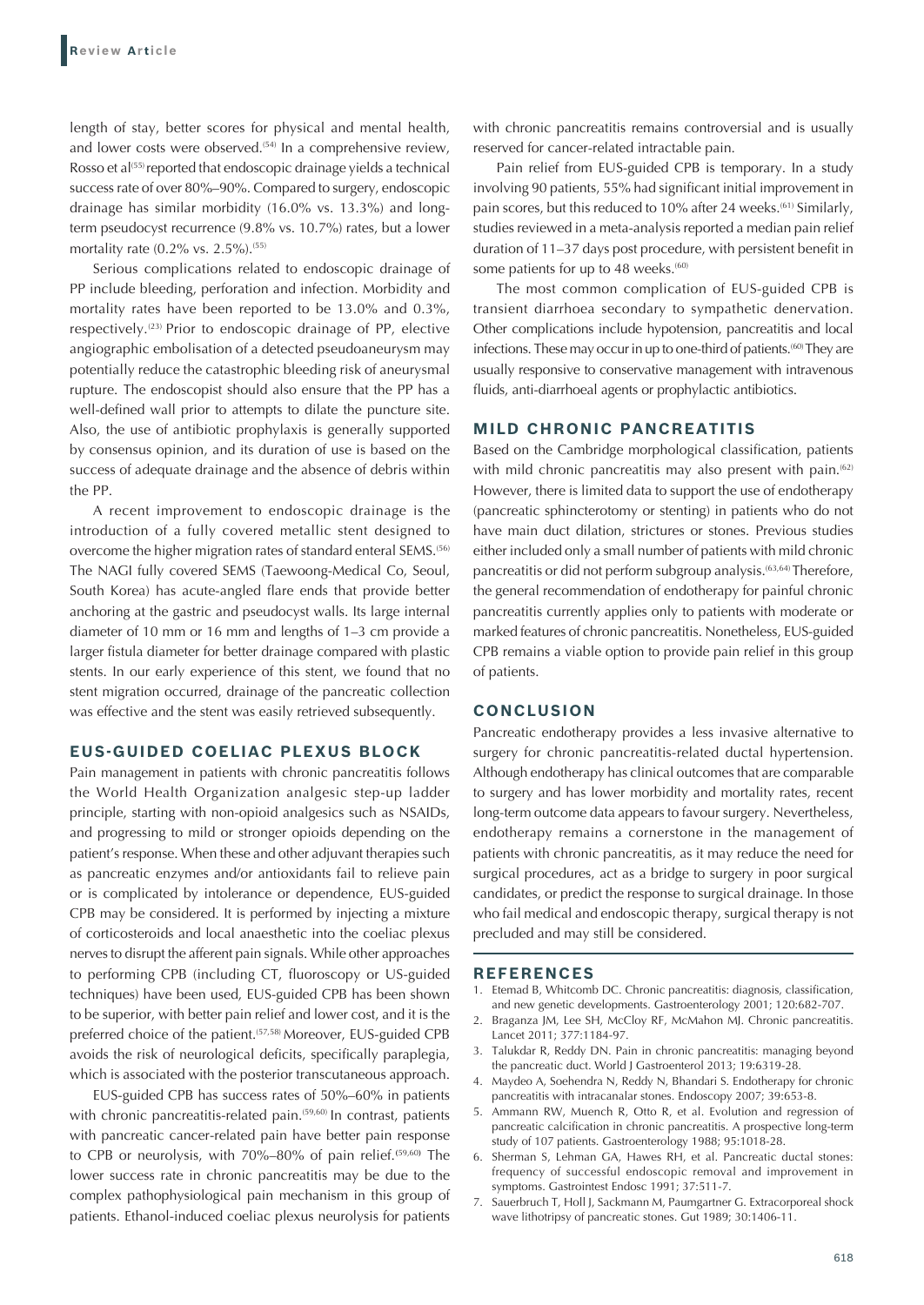length of stay, better scores for physical and mental health, and lower costs were observed.<sup>(54)</sup> In a comprehensive review, Rosso et al<sup>(55)</sup> reported that endoscopic drainage yields a technical success rate of over 80%–90%. Compared to surgery, endoscopic drainage has similar morbidity (16.0% vs. 13.3%) and longterm pseudocyst recurrence (9.8% vs. 10.7%) rates, but a lower mortality rate  $(0.2\% \text{ vs. } 2.5\%).$ <sup>(55)</sup>

Serious complications related to endoscopic drainage of PP include bleeding, perforation and infection. Morbidity and mortality rates have been reported to be 13.0% and 0.3%, respectively.(23) Prior to endoscopic drainage of PP, elective angiographic embolisation of a detected pseudoaneurysm may potentially reduce the catastrophic bleeding risk of aneurysmal rupture. The endoscopist should also ensure that the PP has a well-defined wall prior to attempts to dilate the puncture site. Also, the use of antibiotic prophylaxis is generally supported by consensus opinion, and its duration of use is based on the success of adequate drainage and the absence of debris within the PP.

A recent improvement to endoscopic drainage is the introduction of a fully covered metallic stent designed to overcome the higher migration rates of standard enteral SEMS.<sup>(56)</sup> The NAGI fully covered SEMS (Taewoong-Medical Co, Seoul, South Korea) has acute-angled flare ends that provide better anchoring at the gastric and pseudocyst walls. Its large internal diameter of 10 mm or 16 mm and lengths of 1–3 cm provide a larger fistula diameter for better drainage compared with plastic stents. In our early experience of this stent, we found that no stent migration occurred, drainage of the pancreatic collection was effective and the stent was easily retrieved subsequently.

# **EUS-GUIDED COELIAC PLEXUS BLOCK**

Pain management in patients with chronic pancreatitis follows the World Health Organization analgesic step-up ladder principle, starting with non-opioid analgesics such as NSAIDs, and progressing to mild or stronger opioids depending on the patient's response. When these and other adjuvant therapies such as pancreatic enzymes and/or antioxidants fail to relieve pain or is complicated by intolerance or dependence, EUS-guided CPB may be considered. It is performed by injecting a mixture of corticosteroids and local anaesthetic into the coeliac plexus nerves to disrupt the afferent pain signals. While other approaches to performing CPB (including CT, fluoroscopy or US-guided techniques) have been used, EUS-guided CPB has been shown to be superior, with better pain relief and lower cost, and it is the preferred choice of the patient.<sup>(57,58)</sup> Moreover, EUS-guided CPB avoids the risk of neurological deficits, specifically paraplegia, which is associated with the posterior transcutaneous approach.

EUS-guided CPB has success rates of 50%–60% in patients with chronic pancreatitis-related pain.<sup>(59,60)</sup> In contrast, patients with pancreatic cancer-related pain have better pain response to CPB or neurolysis, with 70%–80% of pain relief.**(**59,60**)** The lower success rate in chronic pancreatitis may be due to the complex pathophysiological pain mechanism in this group of patients. Ethanol-induced coeliac plexus neurolysis for patients

with chronic pancreatitis remains controversial and is usually reserved for cancer-related intractable pain.

Pain relief from EUS-guided CPB is temporary. In a study involving 90 patients, 55% had significant initial improvement in pain scores, but this reduced to 10% after 24 weeks.<sup>(61)</sup> Similarly, studies reviewed in a meta-analysis reported a median pain relief duration of 11–37 days post procedure, with persistent benefit in some patients for up to 48 weeks.<sup>(60)</sup>

The most common complication of EUS-guided CPB is transient diarrhoea secondary to sympathetic denervation. Other complications include hypotension, pancreatitis and local infections. These may occur in up to one-third of patients.<sup>(60)</sup> They are usually responsive to conservative management with intravenous fluids, anti-diarrhoeal agents or prophylactic antibiotics.

# **MILD CHRONIC PANCREATITIS**

Based on the Cambridge morphological classification, patients with mild chronic pancreatitis may also present with pain.<sup> $(62)$ </sup> However, there is limited data to support the use of endotherapy (pancreatic sphincterotomy or stenting) in patients who do not have main duct dilation, strictures or stones. Previous studies either included only a small number of patients with mild chronic pancreatitis or did not perform subgroup analysis.<sup>(63,64)</sup> Therefore, the general recommendation of endotherapy for painful chronic pancreatitis currently applies only to patients with moderate or marked features of chronic pancreatitis. Nonetheless, EUS-guided CPB remains a viable option to provide pain relief in this group of patients.

#### **CONCLUSION**

Pancreatic endotherapy provides a less invasive alternative to surgery for chronic pancreatitis-related ductal hypertension. Although endotherapy has clinical outcomes that are comparable to surgery and has lower morbidity and mortality rates, recent long-term outcome data appears to favour surgery. Nevertheless, endotherapy remains a cornerstone in the management of patients with chronic pancreatitis, as it may reduce the need for surgical procedures, act as a bridge to surgery in poor surgical candidates, or predict the response to surgical drainage. In those who fail medical and endoscopic therapy, surgical therapy is not precluded and may still be considered.

#### **REFERENCES**

- 1. Etemad B, Whitcomb DC. Chronic pancreatitis: diagnosis, classification, and new genetic developments. Gastroenterology 2001; 120:682-707.
- 2. Braganza JM, Lee SH, McCloy RF, McMahon MJ. Chronic pancreatitis. Lancet 2011; 377:1184-97.
- Talukdar R, Reddy DN. Pain in chronic pancreatitis: managing beyond the pancreatic duct. World J Gastroenterol 2013; 19:6319-28.
- 4. Maydeo A, Soehendra N, Reddy N, Bhandari S. Endotherapy for chronic pancreatitis with intracanalar stones. Endoscopy 2007; 39:653-8.
- 5. Ammann RW, Muench R, Otto R, et al. Evolution and regression of pancreatic calcification in chronic pancreatitis. A prospective long-term study of 107 patients. Gastroenterology 1988; 95:1018-28.
- 6. Sherman S, Lehman GA, Hawes RH, et al. Pancreatic ductal stones: frequency of successful endoscopic removal and improvement in symptoms. Gastrointest Endosc 1991; 37:511-7.
- 7. Sauerbruch T, Holl J, Sackmann M, Paumgartner G. Extracorporeal shock wave lithotripsy of pancreatic stones. Gut 1989; 30:1406-11.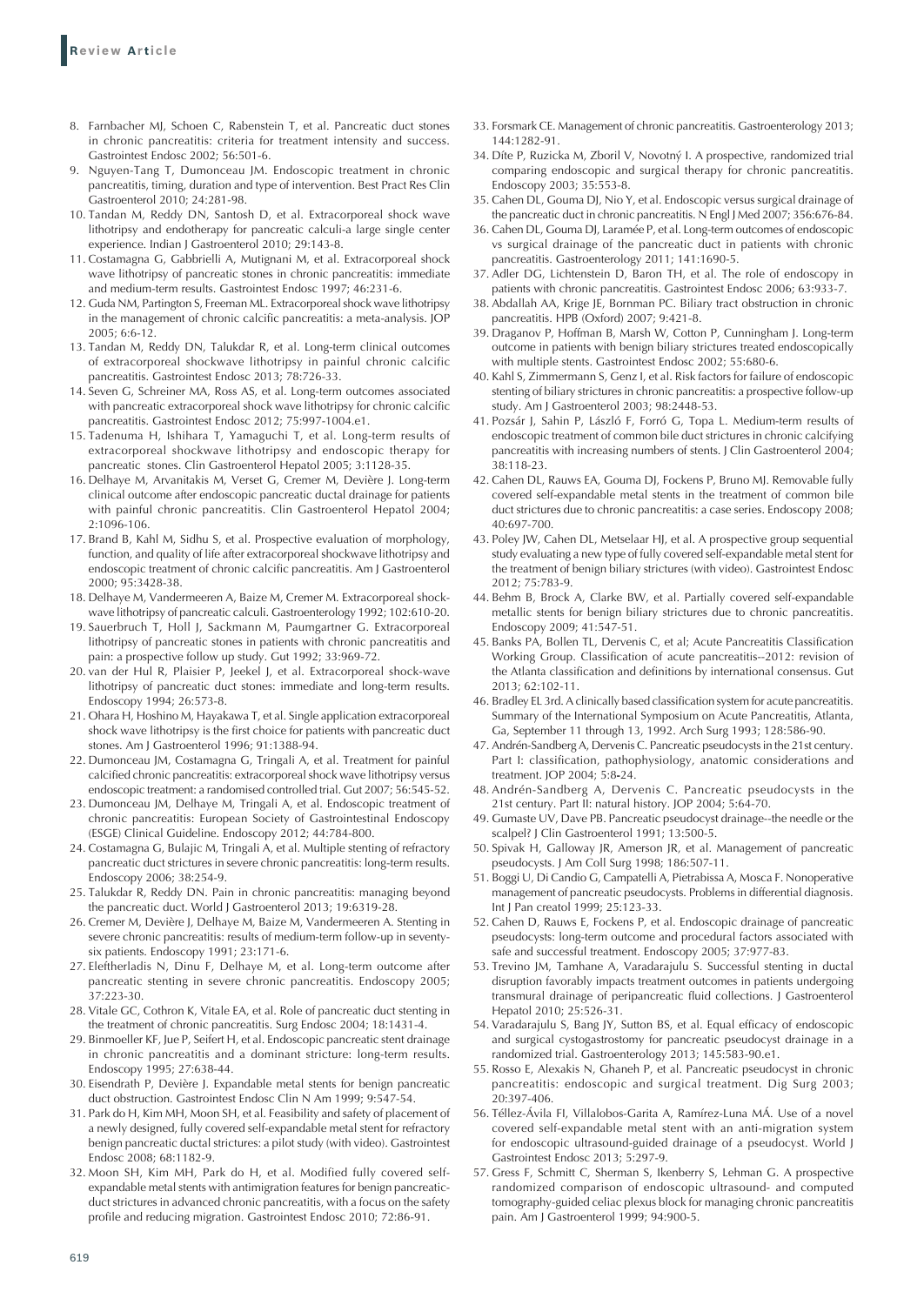- 8. Farnbacher MJ, Schoen C, Rabenstein T, et al. Pancreatic duct stones in chronic pancreatitis: criteria for treatment intensity and success. Gastrointest Endosc 2002; 56:501-6.
- 9. Nguyen-Tang T, Dumonceau JM. Endoscopic treatment in chronic pancreatitis, timing, duration and type of intervention. Best Pract Res Clin Gastroenterol 2010; 24:281-98.
- 10. Tandan M, Reddy DN, Santosh D, et al. Extracorporeal shock wave lithotripsy and endotherapy for pancreatic calculi-a large single center experience. Indian J Gastroenterol 2010; 29:143-8.
- 11. Costamagna G, Gabbrielli A, Mutignani M, et al. Extracorporeal shock wave lithotripsy of pancreatic stones in chronic pancreatitis: immediate and medium-term results. Gastrointest Endosc 1997; 46:231-6.
- 12. Guda NM, Partington S, Freeman ML. Extracorporeal shock wave lithotripsy in the management of chronic calcific pancreatitis: a meta-analysis. JOP 2005; 6:6-12.
- 13. Tandan M, Reddy DN, Talukdar R, et al. Long-term clinical outcomes of extracorporeal shockwave lithotripsy in painful chronic calcific pancreatitis. Gastrointest Endosc 2013; 78:726-33.
- 14. Seven G, Schreiner MA, Ross AS, et al. Long-term outcomes associated with pancreatic extracorporeal shock wave lithotripsy for chronic calcific pancreatitis. Gastrointest Endosc 2012; 75:997-1004.e1.
- 15. Tadenuma H, Ishihara T, Yamaguchi T, et al. Long-term results of extracorporeal shockwave lithotripsy and endoscopic therapy for pancreatic stones. Clin Gastroenterol Hepatol 2005; 3:1128-35.
- 16. Delhaye M, Arvanitakis M, Verset G, Cremer M, Devière J. Long-term clinical outcome after endoscopic pancreatic ductal drainage for patients with painful chronic pancreatitis. Clin Gastroenterol Hepatol 2004; 2:1096‑106.
- 17. Brand B, Kahl M, Sidhu S, et al. Prospective evaluation of morphology, function, and quality of life after extracorporeal shockwave lithotripsy and endoscopic treatment of chronic calcific pancreatitis. Am J Gastroenterol 2000; 95:3428-38.
- 18. Delhaye M, Vandermeeren A, Baize M, Cremer M. Extracorporeal shockwave lithotripsy of pancreatic calculi. Gastroenterology 1992; 102:610-20.
- 19. Sauerbruch T, Holl J, Sackmann M, Paumgartner G. Extracorporeal lithotripsy of pancreatic stones in patients with chronic pancreatitis and pain: a prospective follow up study. Gut 1992; 33:969-72.
- 20. van der Hul R, Plaisier P, Jeekel J, et al. Extracorporeal shock-wave lithotripsy of pancreatic duct stones: immediate and long-term results. Endoscopy 1994; 26:573-8.
- 21. Ohara H, Hoshino M, Hayakawa T, et al. Single application extracorporeal shock wave lithotripsy is the first choice for patients with pancreatic duct stones. Am J Gastroenterol 1996; 91:1388-94.
- 22. Dumonceau JM, Costamagna G, Tringali A, et al. Treatment for painful calcified chronic pancreatitis: extracorporeal shock wave lithotripsy versus endoscopic treatment: a randomised controlled trial. Gut 2007; 56:545-52.
- 23. Dumonceau JM, Delhaye M, Tringali A, et al. Endoscopic treatment of chronic pancreatitis: European Society of Gastrointestinal Endoscopy (ESGE) Clinical Guideline. Endoscopy 2012; 44:784-800.
- 24. Costamagna G, Bulajic M, Tringali A, et al. Multiple stenting of refractory pancreatic duct strictures in severe chronic pancreatitis: long-term results. Endoscopy 2006; 38:254-9.
- 25. Talukdar R, Reddy DN. Pain in chronic pancreatitis: managing beyond the pancreatic duct. World J Gastroenterol 2013; 19:6319-28.
- 26. Cremer M, Devière J, Delhaye M, Baize M, Vandermeeren A. Stenting in severe chronic pancreatitis: results of medium-term follow-up in seventysix patients. Endoscopy 1991; 23:171-6.
- 27. Eleftherladis N, Dinu F, Delhaye M, et al. Long-term outcome after pancreatic stenting in severe chronic pancreatitis. Endoscopy 2005; 37:223-30.
- 28. Vitale GC, Cothron K, Vitale EA, et al. Role of pancreatic duct stenting in the treatment of chronic pancreatitis. Surg Endosc 2004; 18:1431-4.
- 29. Binmoeller KF, Jue P, Seifert H, et al. Endoscopic pancreatic stent drainage in chronic pancreatitis and a dominant stricture: long-term results. Endoscopy 1995; 27:638-44.
- 30. Eisendrath P, Devière J. Expandable metal stents for benign pancreatic duct obstruction. Gastrointest Endosc Clin N Am 1999; 9:547-54.
- 31. Park do H, Kim MH, Moon SH, et al. Feasibility and safety of placement of a newly designed, fully covered self-expandable metal stent for refractory benign pancreatic ductal strictures: a pilot study (with video). Gastrointest Endosc 2008; 68:1182-9.
- 32. Moon SH, Kim MH, Park do H, et al. Modified fully covered selfexpandable metal stents with antimigration features for benign pancreaticduct strictures in advanced chronic pancreatitis, with a focus on the safety profile and reducing migration. Gastrointest Endosc 2010; 72:86-91.
- 33. Forsmark CE. Management of chronic pancreatitis. Gastroenterology 2013; 144:1282-91.
- 34. Díte P, Ruzicka M, Zboril V, Novotný I. A prospective, randomized trial comparing endoscopic and surgical therapy for chronic pancreatitis. Endoscopy 2003; 35:553-8.
- 35. Cahen DL, Gouma DJ, Nio Y, et al. Endoscopic versus surgical drainage of the pancreatic duct in chronic pancreatitis. N Engl J Med 2007; 356:676-84.
- 36. Cahen DL, Gouma DJ, Laramée P, et al. Long-term outcomes of endoscopic vs surgical drainage of the pancreatic duct in patients with chronic pancreatitis. Gastroenterology 2011; 141:1690-5.
- 37. Adler DG, Lichtenstein D, Baron TH, et al. The role of endoscopy in patients with chronic pancreatitis. Gastrointest Endosc 2006; 63:933-7.
- 38. Abdallah AA, Krige JE, Bornman PC. Biliary tract obstruction in chronic pancreatitis. HPB (Oxford) 2007; 9:421-8.
- 39. Draganov P, Hoffman B, Marsh W, Cotton P, Cunningham J. Long-term outcome in patients with benign biliary strictures treated endoscopically with multiple stents. Gastrointest Endosc 2002; 55:680-6.
- 40. Kahl S, Zimmermann S, Genz I, et al. Risk factors for failure of endoscopic stenting of biliary strictures in chronic pancreatitis: a prospective follow-up study. Am J Gastroenterol 2003; 98:2448-53.
- 41. Pozsár J, Sahin P, László F, Forró G, Topa L. Medium-term results of endoscopic treatment of common bile duct strictures in chronic calcifying pancreatitis with increasing numbers of stents. J Clin Gastroenterol 2004; 38:118-23.
- 42. Cahen DL, Rauws EA, Gouma DJ, Fockens P, Bruno MJ. Removable fully covered self-expandable metal stents in the treatment of common bile duct strictures due to chronic pancreatitis: a case series. Endoscopy 2008; 40:697-700.
- 43. Poley JW, Cahen DL, Metselaar HJ, et al. A prospective group sequential study evaluating a new type of fully covered self-expandable metal stent for the treatment of benign biliary strictures (with video). Gastrointest Endosc 2012; 75:783-9.
- 44. Behm B, Brock A, Clarke BW, et al. Partially covered self-expandable metallic stents for benign biliary strictures due to chronic pancreatitis. Endoscopy 2009; 41:547-51.
- 45. Banks PA, Bollen TL, Dervenis C, et al; Acute Pancreatitis Classification Working Group. Classification of acute pancreatitis--2012: revision of the Atlanta classification and definitions by international consensus. Gut 2013; 62:102-11.
- 46. Bradley EL 3rd. A clinically based classification system for acute pancreatitis. Summary of the International Symposium on Acute Pancreatitis, Atlanta, Ga, September 11 through 13, 1992. Arch Surg 1993; 128:586-90.
- 47. Andrén-Sandberg A, Dervenis C. Pancreatic pseudocysts in the 21st century. Part I: classification, pathophysiology, anatomic considerations and treatment. JOP 2004; 5:8**-**24.
- 48. Andrén-Sandberg A, Dervenis C. Pancreatic pseudocysts in the 21st century. Part II: natural history. JOP 2004; 5:64-70.
- 49. Gumaste UV, Dave PB. Pancreatic pseudocyst drainage--the needle or the scalpel? J Clin Gastroenterol 1991; 13:500-5.
- 50. Spivak H, Galloway JR, Amerson JR, et al. Management of pancreatic pseudocysts. J Am Coll Surg 1998; 186:507-11.
- 51. Boggi U, Di Candio G, Campatelli A, Pietrabissa A, Mosca F. Nonoperative management of pancreatic pseudocysts. Problems in differential diagnosis. Int J Pan creatol 1999; 25:123-33.
- 52. Cahen D, Rauws E, Fockens P, et al. Endoscopic drainage of pancreatic pseudocysts: long-term outcome and procedural factors associated with safe and successful treatment. Endoscopy 2005; 37:977-83.
- 53. Trevino JM, Tamhane A, Varadarajulu S. Successful stenting in ductal disruption favorably impacts treatment outcomes in patients undergoing transmural drainage of peripancreatic fluid collections. J Gastroenterol Hepatol 2010; 25:526-31.
- 54. Varadarajulu S, Bang JY, Sutton BS, et al. Equal efficacy of endoscopic and surgical cystogastrostomy for pancreatic pseudocyst drainage in a randomized trial. Gastroenterology 2013; 145:583-90.e1.
- 55. Rosso E, Alexakis N, Ghaneh P, et al. Pancreatic pseudocyst in chronic pancreatitis: endoscopic and surgical treatment. Dig Surg 2003; 20:397‑406.
- 56. Téllez-Ávila FI, Villalobos-Garita A, Ramírez-Luna MÁ. Use of a novel covered self-expandable metal stent with an anti-migration system for endoscopic ultrasound-guided drainage of a pseudocyst. World J Gastrointest Endosc 2013; 5:297-9.
- 57. Gress F, Schmitt C, Sherman S, Ikenberry S, Lehman G. A prospective randomized comparison of endoscopic ultrasound- and computed tomography-guided celiac plexus block for managing chronic pancreatitis pain. Am J Gastroenterol 1999; 94:900-5.